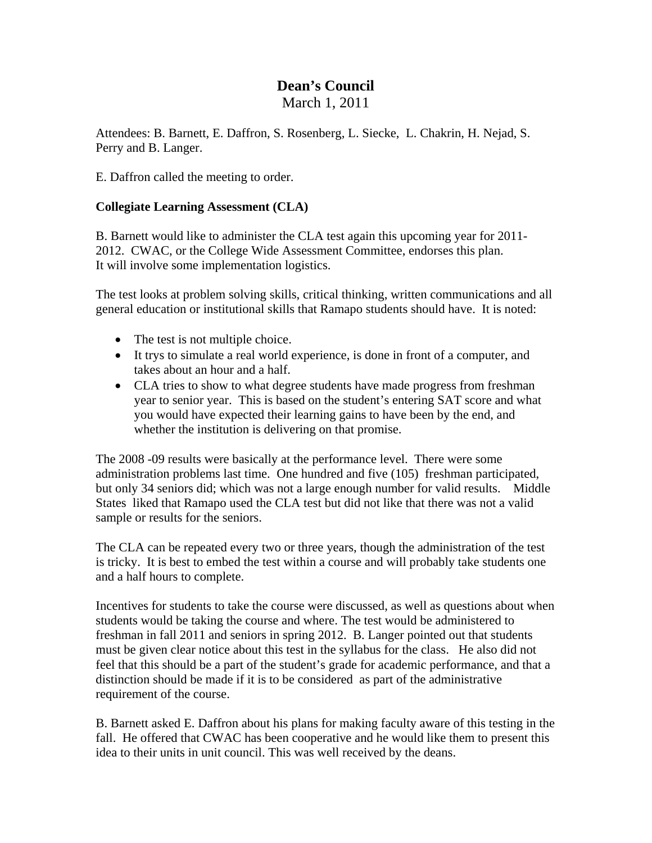## **Dean's Council**  March 1, 2011

Attendees: B. Barnett, E. Daffron, S. Rosenberg, L. Siecke, L. Chakrin, H. Nejad, S. Perry and B. Langer.

E. Daffron called the meeting to order.

## **Collegiate Learning Assessment (CLA)**

B. Barnett would like to administer the CLA test again this upcoming year for 2011- 2012. CWAC, or the College Wide Assessment Committee, endorses this plan. It will involve some implementation logistics.

The test looks at problem solving skills, critical thinking, written communications and all general education or institutional skills that Ramapo students should have. It is noted:

- The test is not multiple choice.
- It trys to simulate a real world experience, is done in front of a computer, and takes about an hour and a half.
- CLA tries to show to what degree students have made progress from freshman year to senior year. This is based on the student's entering SAT score and what you would have expected their learning gains to have been by the end, and whether the institution is delivering on that promise.

The 2008 -09 results were basically at the performance level. There were some administration problems last time. One hundred and five (105) freshman participated, but only 34 seniors did; which was not a large enough number for valid results. Middle States liked that Ramapo used the CLA test but did not like that there was not a valid sample or results for the seniors.

The CLA can be repeated every two or three years, though the administration of the test is tricky. It is best to embed the test within a course and will probably take students one and a half hours to complete.

Incentives for students to take the course were discussed, as well as questions about when students would be taking the course and where. The test would be administered to freshman in fall 2011 and seniors in spring 2012. B. Langer pointed out that students must be given clear notice about this test in the syllabus for the class. He also did not feel that this should be a part of the student's grade for academic performance, and that a distinction should be made if it is to be considered as part of the administrative requirement of the course.

B. Barnett asked E. Daffron about his plans for making faculty aware of this testing in the fall. He offered that CWAC has been cooperative and he would like them to present this idea to their units in unit council. This was well received by the deans.